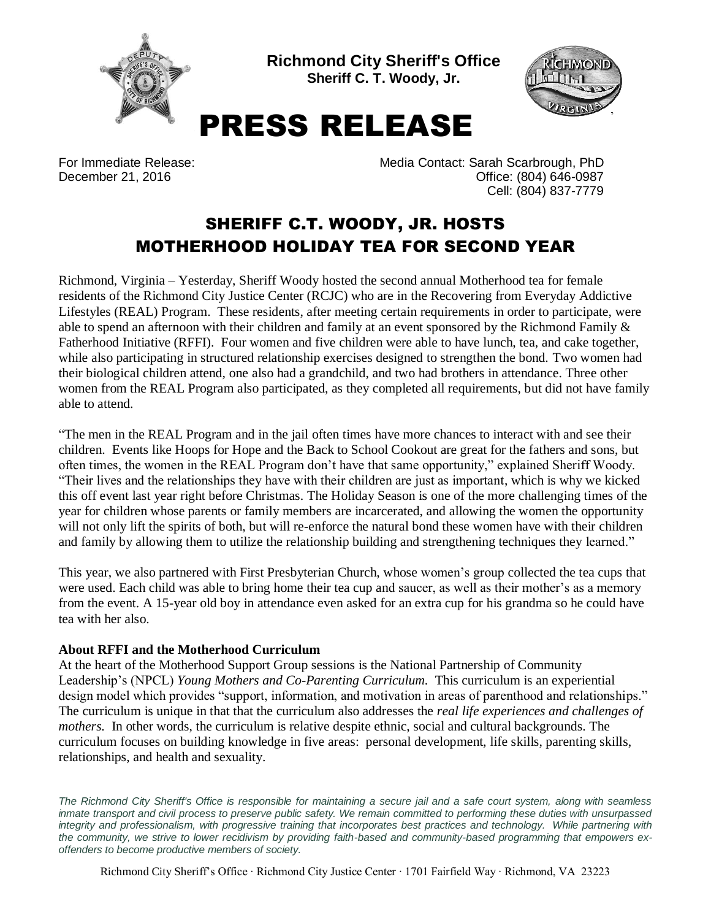

**Richmond City Sheriff's Office Sheriff C. T. Woody, Jr.**



## PRESS RELEASE

For Immediate Release: Media Contact: Sarah Scarbrough, PhD December 21, 2016 **December 21, 2016 Office: (804) 646-0987** Cell: (804) 837-7779

## SHERIFF C.T. WOODY, JR. HOSTS MOTHERHOOD HOLIDAY TEA FOR SECOND YEAR

Richmond, Virginia – Yesterday, Sheriff Woody hosted the second annual Motherhood tea for female residents of the Richmond City Justice Center (RCJC) who are in the Recovering from Everyday Addictive Lifestyles (REAL) Program. These residents, after meeting certain requirements in order to participate, were able to spend an afternoon with their children and family at an event sponsored by the Richmond Family & Fatherhood Initiative (RFFI). Four women and five children were able to have lunch, tea, and cake together, while also participating in structured relationship exercises designed to strengthen the bond. Two women had their biological children attend, one also had a grandchild, and two had brothers in attendance. Three other women from the REAL Program also participated, as they completed all requirements, but did not have family able to attend.

"The men in the REAL Program and in the jail often times have more chances to interact with and see their children. Events like Hoops for Hope and the Back to School Cookout are great for the fathers and sons, but often times, the women in the REAL Program don't have that same opportunity," explained Sheriff Woody. "Their lives and the relationships they have with their children are just as important, which is why we kicked this off event last year right before Christmas. The Holiday Season is one of the more challenging times of the year for children whose parents or family members are incarcerated, and allowing the women the opportunity will not only lift the spirits of both, but will re-enforce the natural bond these women have with their children and family by allowing them to utilize the relationship building and strengthening techniques they learned."

This year, we also partnered with First Presbyterian Church, whose women's group collected the tea cups that were used. Each child was able to bring home their tea cup and saucer, as well as their mother's as a memory from the event. A 15-year old boy in attendance even asked for an extra cup for his grandma so he could have tea with her also.

## **About RFFI and the Motherhood Curriculum**

At the heart of the Motherhood Support Group sessions is the National Partnership of Community Leadership's (NPCL) *Young Mothers and Co-Parenting Curriculum.* This curriculum is an experiential design model which provides "support, information, and motivation in areas of parenthood and relationships." The curriculum is unique in that that the curriculum also addresses the *real life experiences and challenges of mothers.* In other words, the curriculum is relative despite ethnic, social and cultural backgrounds. The curriculum focuses on building knowledge in five areas: personal development, life skills, parenting skills, relationships, and health and sexuality.

*The Richmond City Sheriff's Office is responsible for maintaining a secure jail and a safe court system, along with seamless inmate transport and civil process to preserve public safety. We remain committed to performing these duties with unsurpassed integrity and professionalism, with progressive training that incorporates best practices and technology. While partnering with the community, we strive to lower recidivism by providing faith-based and community-based programming that empowers exoffenders to become productive members of society.*